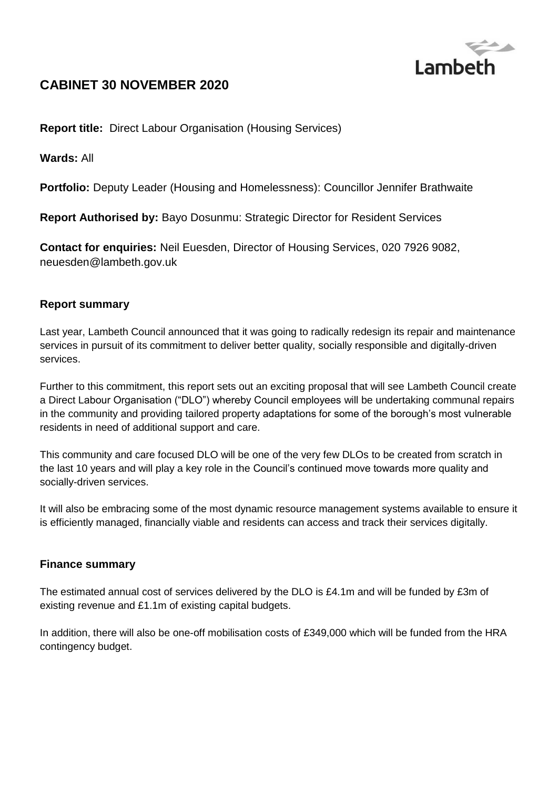

# **CABINET 30 NOVEMBER 2020**

**Report title:** Direct Labour Organisation (Housing Services)

**Wards:** All

**Portfolio:** Deputy Leader (Housing and Homelessness): Councillor Jennifer Brathwaite

**Report Authorised by:** Bayo Dosunmu: Strategic Director for Resident Services

**Contact for enquiries:** Neil Euesden, Director of Housing Services, 020 7926 9082, neuesden@lambeth.gov.uk

#### **Report summary**

Last year, Lambeth Council announced that it was going to radically redesign its repair and maintenance services in pursuit of its commitment to deliver better quality, socially responsible and digitally-driven services.

Further to this commitment, this report sets out an exciting proposal that will see Lambeth Council create a Direct Labour Organisation ("DLO") whereby Council employees will be undertaking communal repairs in the community and providing tailored property adaptations for some of the borough's most vulnerable residents in need of additional support and care.

This community and care focused DLO will be one of the very few DLOs to be created from scratch in the last 10 years and will play a key role in the Council's continued move towards more quality and socially-driven services.

It will also be embracing some of the most dynamic resource management systems available to ensure it is efficiently managed, financially viable and residents can access and track their services digitally.

#### **Finance summary**

The estimated annual cost of services delivered by the DLO is £4.1m and will be funded by £3m of existing revenue and £1.1m of existing capital budgets.

In addition, there will also be one-off mobilisation costs of £349,000 which will be funded from the HRA contingency budget.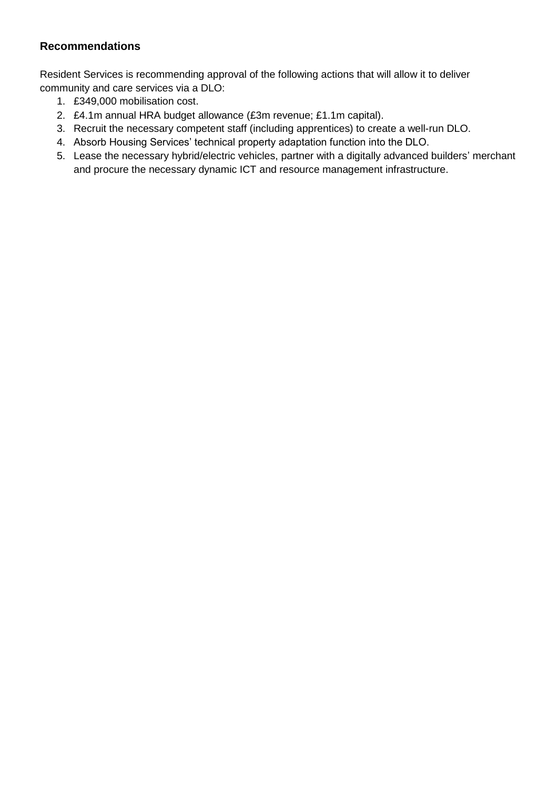## **Recommendations**

Resident Services is recommending approval of the following actions that will allow it to deliver community and care services via a DLO:

- 1. £349,000 mobilisation cost.
- 2. £4.1m annual HRA budget allowance (£3m revenue; £1.1m capital).
- 3. Recruit the necessary competent staff (including apprentices) to create a well-run DLO.
- 4. Absorb Housing Services' technical property adaptation function into the DLO.
- 5. Lease the necessary hybrid/electric vehicles, partner with a digitally advanced builders' merchant and procure the necessary dynamic ICT and resource management infrastructure.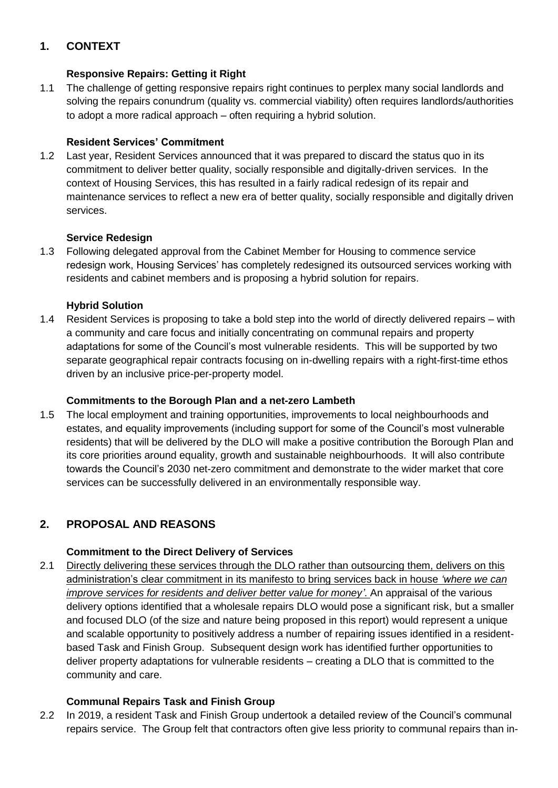# **1. CONTEXT**

## **Responsive Repairs: Getting it Right**

1.1 The challenge of getting responsive repairs right continues to perplex many social landlords and solving the repairs conundrum (quality vs. commercial viability) often requires landlords/authorities to adopt a more radical approach – often requiring a hybrid solution.

## **Resident Services' Commitment**

1.2 Last year, Resident Services announced that it was prepared to discard the status quo in its commitment to deliver better quality, socially responsible and digitally-driven services. In the context of Housing Services, this has resulted in a fairly radical redesign of its repair and maintenance services to reflect a new era of better quality, socially responsible and digitally driven services.

#### **Service Redesign**

1.3 Following delegated approval from the Cabinet Member for Housing to commence service redesign work, Housing Services' has completely redesigned its outsourced services working with residents and cabinet members and is proposing a hybrid solution for repairs.

## **Hybrid Solution**

1.4 Resident Services is proposing to take a bold step into the world of directly delivered repairs – with a community and care focus and initially concentrating on communal repairs and property adaptations for some of the Council's most vulnerable residents. This will be supported by two separate geographical repair contracts focusing on in-dwelling repairs with a right-first-time ethos driven by an inclusive price-per-property model.

#### **Commitments to the Borough Plan and a net-zero Lambeth**

1.5 The local employment and training opportunities, improvements to local neighbourhoods and estates, and equality improvements (including support for some of the Council's most vulnerable residents) that will be delivered by the DLO will make a positive contribution the Borough Plan and its core priorities around equality, growth and sustainable neighbourhoods. It will also contribute towards the Council's 2030 net-zero commitment and demonstrate to the wider market that core services can be successfully delivered in an environmentally responsible way.

# **2. PROPOSAL AND REASONS**

#### **Commitment to the Direct Delivery of Services**

2.1 Directly delivering these services through the DLO rather than outsourcing them, delivers on this administration's clear commitment in its manifesto to bring services back in house *'where we can improve services for residents and deliver better value for money'*. An appraisal of the various delivery options identified that a wholesale repairs DLO would pose a significant risk, but a smaller and focused DLO (of the size and nature being proposed in this report) would represent a unique and scalable opportunity to positively address a number of repairing issues identified in a residentbased Task and Finish Group. Subsequent design work has identified further opportunities to deliver property adaptations for vulnerable residents – creating a DLO that is committed to the community and care.

# **Communal Repairs Task and Finish Group**

2.2 In 2019, a resident Task and Finish Group undertook a detailed review of the Council's communal repairs service. The Group felt that contractors often give less priority to communal repairs than in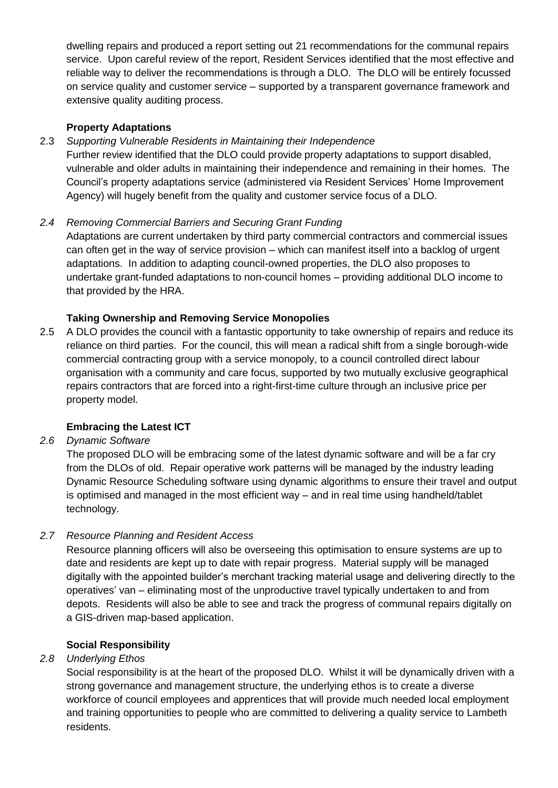dwelling repairs and produced a report setting out 21 recommendations for the communal repairs service. Upon careful review of the report, Resident Services identified that the most effective and reliable way to deliver the recommendations is through a DLO. The DLO will be entirely focussed on service quality and customer service – supported by a transparent governance framework and extensive quality auditing process.

## **Property Adaptations**

## 2.3 *Supporting Vulnerable Residents in Maintaining their Independence*

Further review identified that the DLO could provide property adaptations to support disabled, vulnerable and older adults in maintaining their independence and remaining in their homes. The Council's property adaptations service (administered via Resident Services' Home Improvement Agency) will hugely benefit from the quality and customer service focus of a DLO.

#### *2.4 Removing Commercial Barriers and Securing Grant Funding*

Adaptations are current undertaken by third party commercial contractors and commercial issues can often get in the way of service provision – which can manifest itself into a backlog of urgent adaptations. In addition to adapting council-owned properties, the DLO also proposes to undertake grant-funded adaptations to non-council homes – providing additional DLO income to that provided by the HRA.

## **Taking Ownership and Removing Service Monopolies**

2.5 A DLO provides the council with a fantastic opportunity to take ownership of repairs and reduce its reliance on third parties. For the council, this will mean a radical shift from a single borough-wide commercial contracting group with a service monopoly, to a council controlled direct labour organisation with a community and care focus, supported by two mutually exclusive geographical repairs contractors that are forced into a right-first-time culture through an inclusive price per property model.

#### **Embracing the Latest ICT**

#### *2.6 Dynamic Software*

The proposed DLO will be embracing some of the latest dynamic software and will be a far cry from the DLOs of old. Repair operative work patterns will be managed by the industry leading Dynamic Resource Scheduling software using dynamic algorithms to ensure their travel and output is optimised and managed in the most efficient way – and in real time using handheld/tablet technology.

#### *2.7 Resource Planning and Resident Access*

Resource planning officers will also be overseeing this optimisation to ensure systems are up to date and residents are kept up to date with repair progress. Material supply will be managed digitally with the appointed builder's merchant tracking material usage and delivering directly to the operatives' van – eliminating most of the unproductive travel typically undertaken to and from depots. Residents will also be able to see and track the progress of communal repairs digitally on a GIS-driven map-based application.

#### **Social Responsibility**

#### *2.8 Underlying Ethos*

Social responsibility is at the heart of the proposed DLO. Whilst it will be dynamically driven with a strong governance and management structure, the underlying ethos is to create a diverse workforce of council employees and apprentices that will provide much needed local employment and training opportunities to people who are committed to delivering a quality service to Lambeth residents.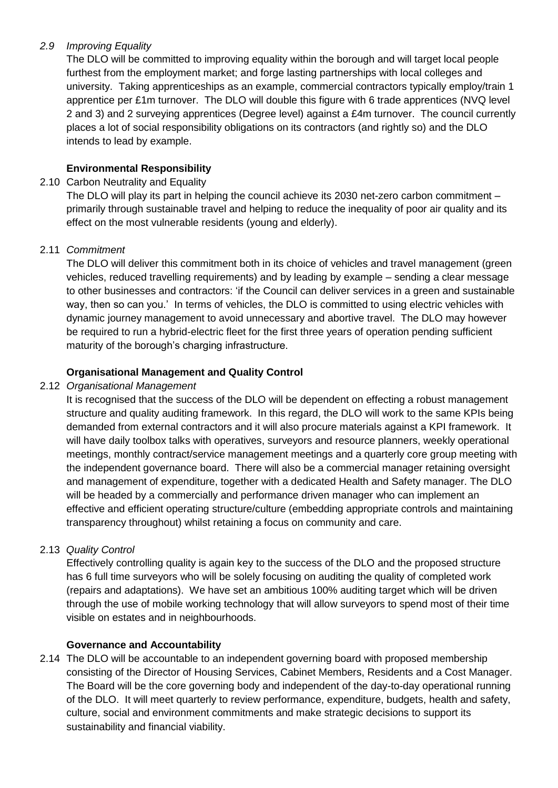## *2.9 Improving Equality*

The DLO will be committed to improving equality within the borough and will target local people furthest from the employment market; and forge lasting partnerships with local colleges and university. Taking apprenticeships as an example, commercial contractors typically employ/train 1 apprentice per £1m turnover. The DLO will double this figure with 6 trade apprentices (NVQ level 2 and 3) and 2 surveying apprentices (Degree level) against a £4m turnover. The council currently places a lot of social responsibility obligations on its contractors (and rightly so) and the DLO intends to lead by example.

# **Environmental Responsibility**

#### 2.10 Carbon Neutrality and Equality

The DLO will play its part in helping the council achieve its 2030 net-zero carbon commitment – primarily through sustainable travel and helping to reduce the inequality of poor air quality and its effect on the most vulnerable residents (young and elderly).

#### 2.11 *Commitment*

The DLO will deliver this commitment both in its choice of vehicles and travel management (green vehicles, reduced travelling requirements) and by leading by example – sending a clear message to other businesses and contractors: 'if the Council can deliver services in a green and sustainable way, then so can you.' In terms of vehicles, the DLO is committed to using electric vehicles with dynamic journey management to avoid unnecessary and abortive travel. The DLO may however be required to run a hybrid-electric fleet for the first three years of operation pending sufficient maturity of the borough's charging infrastructure.

#### **Organisational Management and Quality Control**

#### 2.12 *Organisational Management*

It is recognised that the success of the DLO will be dependent on effecting a robust management structure and quality auditing framework. In this regard, the DLO will work to the same KPIs being demanded from external contractors and it will also procure materials against a KPI framework. It will have daily toolbox talks with operatives, surveyors and resource planners, weekly operational meetings, monthly contract/service management meetings and a quarterly core group meeting with the independent governance board. There will also be a commercial manager retaining oversight and management of expenditure, together with a dedicated Health and Safety manager. The DLO will be headed by a commercially and performance driven manager who can implement an effective and efficient operating structure/culture (embedding appropriate controls and maintaining transparency throughout) whilst retaining a focus on community and care.

#### 2.13 *Quality Control*

Effectively controlling quality is again key to the success of the DLO and the proposed structure has 6 full time surveyors who will be solely focusing on auditing the quality of completed work (repairs and adaptations). We have set an ambitious 100% auditing target which will be driven through the use of mobile working technology that will allow surveyors to spend most of their time visible on estates and in neighbourhoods.

#### **Governance and Accountability**

2.14 The DLO will be accountable to an independent governing board with proposed membership consisting of the Director of Housing Services, Cabinet Members, Residents and a Cost Manager. The Board will be the core governing body and independent of the day-to-day operational running of the DLO. It will meet quarterly to review performance, expenditure, budgets, health and safety, culture, social and environment commitments and make strategic decisions to support its sustainability and financial viability.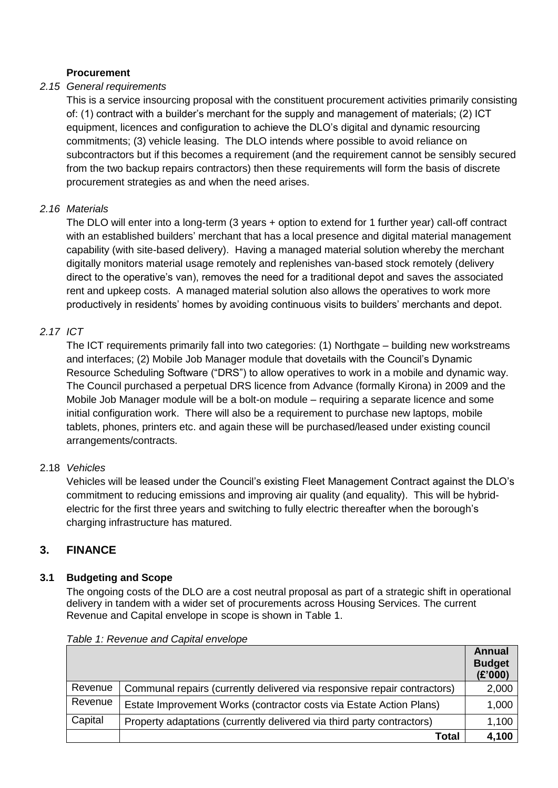#### **Procurement**

#### *2.15 General requirements*

This is a service insourcing proposal with the constituent procurement activities primarily consisting of: (1) contract with a builder's merchant for the supply and management of materials; (2) ICT equipment, licences and configuration to achieve the DLO's digital and dynamic resourcing commitments; (3) vehicle leasing. The DLO intends where possible to avoid reliance on subcontractors but if this becomes a requirement (and the requirement cannot be sensibly secured from the two backup repairs contractors) then these requirements will form the basis of discrete procurement strategies as and when the need arises.

#### *2.16 Materials*

The DLO will enter into a long-term (3 years + option to extend for 1 further year) call-off contract with an established builders' merchant that has a local presence and digital material management capability (with site-based delivery). Having a managed material solution whereby the merchant digitally monitors material usage remotely and replenishes van-based stock remotely (delivery direct to the operative's van), removes the need for a traditional depot and saves the associated rent and upkeep costs. A managed material solution also allows the operatives to work more productively in residents' homes by avoiding continuous visits to builders' merchants and depot.

## *2.17 ICT*

The ICT requirements primarily fall into two categories: (1) Northgate – building new workstreams and interfaces; (2) Mobile Job Manager module that dovetails with the Council's Dynamic Resource Scheduling Software ("DRS") to allow operatives to work in a mobile and dynamic way. The Council purchased a perpetual DRS licence from Advance (formally Kirona) in 2009 and the Mobile Job Manager module will be a bolt-on module – requiring a separate licence and some initial configuration work. There will also be a requirement to purchase new laptops, mobile tablets, phones, printers etc. and again these will be purchased/leased under existing council arrangements/contracts.

#### 2.18 *Vehicles*

Vehicles will be leased under the Council's existing Fleet Management Contract against the DLO's commitment to reducing emissions and improving air quality (and equality). This will be hybridelectric for the first three years and switching to fully electric thereafter when the borough's charging infrastructure has matured.

# **3. FINANCE**

# **3.1 Budgeting and Scope**

The ongoing costs of the DLO are a cost neutral proposal as part of a strategic shift in operational delivery in tandem with a wider set of procurements across Housing Services. The current Revenue and Capital envelope in scope is shown in Table 1.

|         |                                                                          | <b>Annual</b><br><b>Budget</b><br>(E'000) |
|---------|--------------------------------------------------------------------------|-------------------------------------------|
| Revenue | Communal repairs (currently delivered via responsive repair contractors) | 2,000                                     |
| Revenue | Estate Improvement Works (contractor costs via Estate Action Plans)      | 1,000                                     |
| Capital | Property adaptations (currently delivered via third party contractors)   | 1,100                                     |
|         | Total                                                                    | 4,100                                     |

*Table 1: Revenue and Capital envelope*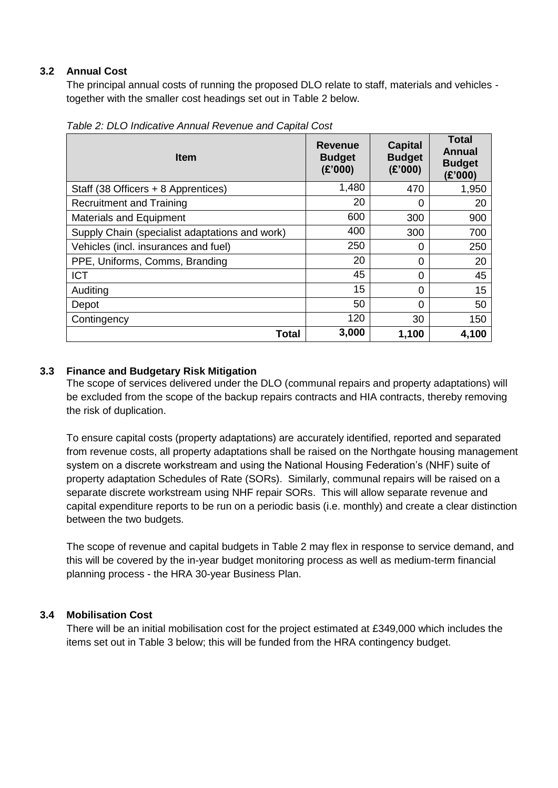#### **3.2 Annual Cost**

The principal annual costs of running the proposed DLO relate to staff, materials and vehicles together with the smaller cost headings set out in Table 2 below.

| <b>Item</b>                                    | <b>Revenue</b><br><b>Budget</b><br>(E'000) | Capital<br><b>Budget</b><br>(E'000) | <b>Total</b><br>Annual<br><b>Budget</b><br>(E'000) |
|------------------------------------------------|--------------------------------------------|-------------------------------------|----------------------------------------------------|
| Staff (38 Officers + 8 Apprentices)            | 1,480                                      | 470                                 | 1,950                                              |
| <b>Recruitment and Training</b>                | 20                                         | 0                                   | 20                                                 |
| <b>Materials and Equipment</b>                 | 600                                        | 300                                 | 900                                                |
| Supply Chain (specialist adaptations and work) | 400                                        | 300                                 | 700                                                |
| Vehicles (incl. insurances and fuel)           | 250                                        | 0                                   | 250                                                |
| PPE, Uniforms, Comms, Branding                 | 20                                         | 0                                   | 20                                                 |
| <b>ICT</b>                                     | 45                                         | 0                                   | 45                                                 |
| Auditing                                       | 15                                         | 0                                   | 15                                                 |
| Depot                                          | 50                                         | 0                                   | 50                                                 |
| Contingency                                    | 120                                        | 30                                  | 150                                                |
| <b>Total</b>                                   | 3,000                                      | 1,100                               | 4,100                                              |

*Table 2: DLO Indicative Annual Revenue and Capital Cost*

#### **3.3 Finance and Budgetary Risk Mitigation**

The scope of services delivered under the DLO (communal repairs and property adaptations) will be excluded from the scope of the backup repairs contracts and HIA contracts, thereby removing the risk of duplication.

To ensure capital costs (property adaptations) are accurately identified, reported and separated from revenue costs, all property adaptations shall be raised on the Northgate housing management system on a discrete workstream and using the National Housing Federation's (NHF) suite of property adaptation Schedules of Rate (SORs). Similarly, communal repairs will be raised on a separate discrete workstream using NHF repair SORs. This will allow separate revenue and capital expenditure reports to be run on a periodic basis (i.e. monthly) and create a clear distinction between the two budgets.

The scope of revenue and capital budgets in Table 2 may flex in response to service demand, and this will be covered by the in-year budget monitoring process as well as medium-term financial planning process - the HRA 30-year Business Plan.

#### **3.4 Mobilisation Cost**

There will be an initial mobilisation cost for the project estimated at £349,000 which includes the items set out in Table 3 below; this will be funded from the HRA contingency budget.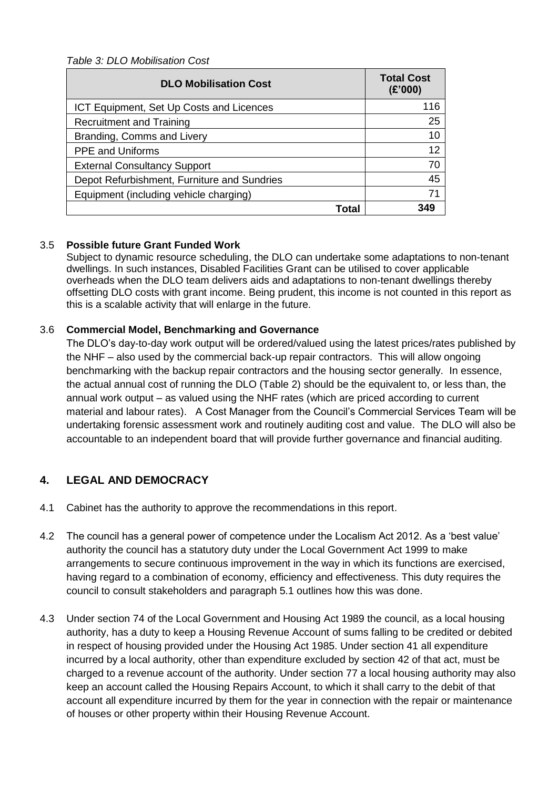*Table 3: DLO Mobilisation Cost*

| <b>DLO Mobilisation Cost</b>                | <b>Total Cost</b><br>(E'000) |
|---------------------------------------------|------------------------------|
| ICT Equipment, Set Up Costs and Licences    | 116                          |
| Recruitment and Training                    | 25                           |
| Branding, Comms and Livery                  | 10                           |
| <b>PPE and Uniforms</b>                     | 12                           |
| <b>External Consultancy Support</b>         | 70                           |
| Depot Refurbishment, Furniture and Sundries | 45                           |
| Equipment (including vehicle charging)      | 71                           |
| Total                                       | 349                          |

## 3.5 **Possible future Grant Funded Work**

Subject to dynamic resource scheduling, the DLO can undertake some adaptations to non-tenant dwellings. In such instances, Disabled Facilities Grant can be utilised to cover applicable overheads when the DLO team delivers aids and adaptations to non-tenant dwellings thereby offsetting DLO costs with grant income. Being prudent, this income is not counted in this report as this is a scalable activity that will enlarge in the future.

## 3.6 **Commercial Model, Benchmarking and Governance**

The DLO's day-to-day work output will be ordered/valued using the latest prices/rates published by the NHF – also used by the commercial back-up repair contractors. This will allow ongoing benchmarking with the backup repair contractors and the housing sector generally. In essence, the actual annual cost of running the DLO (Table 2) should be the equivalent to, or less than, the annual work output – as valued using the NHF rates (which are priced according to current material and labour rates). A Cost Manager from the Council's Commercial Services Team will be undertaking forensic assessment work and routinely auditing cost and value. The DLO will also be accountable to an independent board that will provide further governance and financial auditing.

# **4. LEGAL AND DEMOCRACY**

- 4.1 Cabinet has the authority to approve the recommendations in this report.
- 4.2 The council has a general power of competence under the Localism Act 2012. As a 'best value' authority the council has a statutory duty under the Local Government Act 1999 to make arrangements to secure continuous improvement in the way in which its functions are exercised, having regard to a combination of economy, efficiency and effectiveness. This duty requires the council to consult stakeholders and paragraph 5.1 outlines how this was done.
- 4.3 Under section 74 of the Local Government and Housing Act 1989 the council, as a local housing authority, has a duty to keep a Housing Revenue Account of sums falling to be credited or debited in respect of housing provided under the Housing Act 1985. Under section 41 all expenditure incurred by a local authority, other than expenditure excluded by section 42 of that act, must be charged to a revenue account of the authority. Under section 77 a local housing authority may also keep an account called the Housing Repairs Account, to which it shall carry to the debit of that account all expenditure incurred by them for the year in connection with the repair or maintenance of houses or other property within their Housing Revenue Account.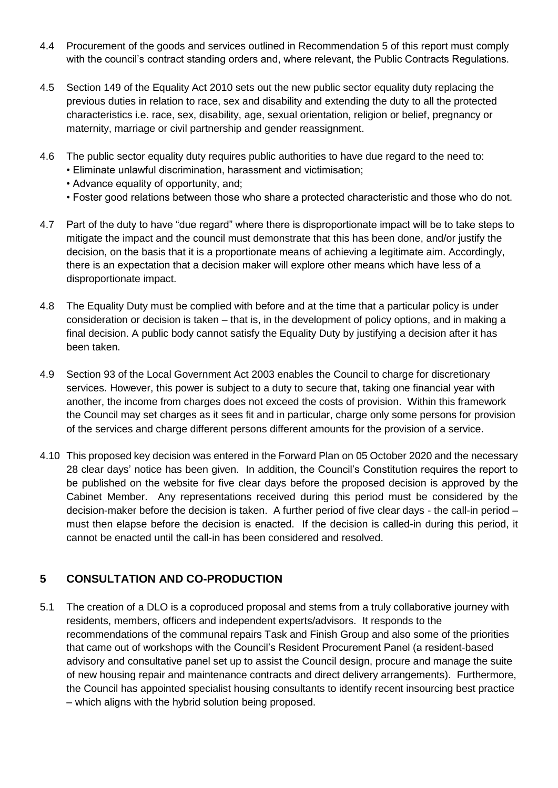- 4.4 Procurement of the goods and services outlined in Recommendation 5 of this report must comply with the council's contract standing orders and, where relevant, the Public Contracts Regulations.
- 4.5 Section 149 of the Equality Act 2010 sets out the new public sector equality duty replacing the previous duties in relation to race, sex and disability and extending the duty to all the protected characteristics i.e. race, sex, disability, age, sexual orientation, religion or belief, pregnancy or maternity, marriage or civil partnership and gender reassignment.
- 4.6 The public sector equality duty requires public authorities to have due regard to the need to:
	- Eliminate unlawful discrimination, harassment and victimisation;
	- Advance equality of opportunity, and;
	- Foster good relations between those who share a protected characteristic and those who do not.
- 4.7 Part of the duty to have "due regard" where there is disproportionate impact will be to take steps to mitigate the impact and the council must demonstrate that this has been done, and/or justify the decision, on the basis that it is a proportionate means of achieving a legitimate aim. Accordingly, there is an expectation that a decision maker will explore other means which have less of a disproportionate impact.
- 4.8 The Equality Duty must be complied with before and at the time that a particular policy is under consideration or decision is taken – that is, in the development of policy options, and in making a final decision. A public body cannot satisfy the Equality Duty by justifying a decision after it has been taken.
- 4.9 Section 93 of the Local Government Act 2003 enables the Council to charge for discretionary services. However, this power is subject to a duty to secure that, taking one financial year with another, the income from charges does not exceed the costs of provision. Within this framework the Council may set charges as it sees fit and in particular, charge only some persons for provision of the services and charge different persons different amounts for the provision of a service.
- 4.10 This proposed key decision was entered in the Forward Plan on 05 October 2020 and the necessary 28 clear days' notice has been given. In addition, the Council's Constitution requires the report to be published on the website for five clear days before the proposed decision is approved by the Cabinet Member. Any representations received during this period must be considered by the decision-maker before the decision is taken. A further period of five clear days - the call-in period – must then elapse before the decision is enacted. If the decision is called-in during this period, it cannot be enacted until the call-in has been considered and resolved.

# **5 CONSULTATION AND CO-PRODUCTION**

5.1 The creation of a DLO is a coproduced proposal and stems from a truly collaborative journey with residents, members, officers and independent experts/advisors. It responds to the recommendations of the communal repairs Task and Finish Group and also some of the priorities that came out of workshops with the Council's Resident Procurement Panel (a resident-based advisory and consultative panel set up to assist the Council design, procure and manage the suite of new housing repair and maintenance contracts and direct delivery arrangements). Furthermore, the Council has appointed specialist housing consultants to identify recent insourcing best practice – which aligns with the hybrid solution being proposed.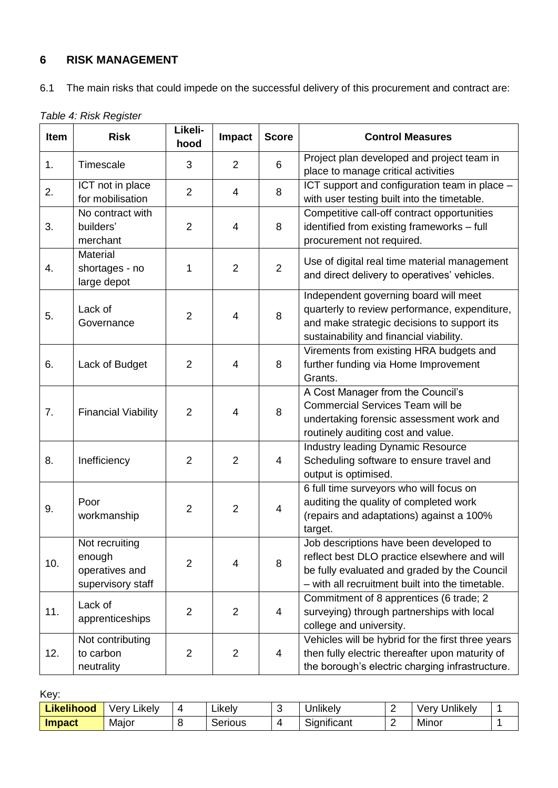# **6 RISK MANAGEMENT**

|  | 6.1 The main risks that could impede on the successful delivery of this procurement and contract are: |  |
|--|-------------------------------------------------------------------------------------------------------|--|
|  |                                                                                                       |  |

| Table 4: Risk Register |  |
|------------------------|--|
|------------------------|--|

| Item | <b>Risk</b>                                                     | Likeli-<br>hood | Impact         | <b>Score</b>   | <b>Control Measures</b>                                                                                                                                                                     |
|------|-----------------------------------------------------------------|-----------------|----------------|----------------|---------------------------------------------------------------------------------------------------------------------------------------------------------------------------------------------|
| 1.   | Timescale                                                       | 3               | $\overline{2}$ | 6              | Project plan developed and project team in<br>place to manage critical activities                                                                                                           |
| 2.   | ICT not in place<br>for mobilisation                            | 2               | $\overline{4}$ | 8              | ICT support and configuration team in place -<br>with user testing built into the timetable.                                                                                                |
| 3.   | No contract with<br>builders'<br>merchant                       | $\overline{2}$  | 4              | 8              | Competitive call-off contract opportunities<br>identified from existing frameworks - full<br>procurement not required.                                                                      |
| 4.   | Material<br>shortages - no<br>large depot                       | 1               | $\overline{2}$ | $\overline{2}$ | Use of digital real time material management<br>and direct delivery to operatives' vehicles.                                                                                                |
| 5.   | Lack of<br>Governance                                           | $\overline{2}$  | 4              | 8              | Independent governing board will meet<br>quarterly to review performance, expenditure,<br>and make strategic decisions to support its<br>sustainability and financial viability.            |
| 6.   | Lack of Budget                                                  | $\overline{2}$  | 4              | 8              | Virements from existing HRA budgets and<br>further funding via Home Improvement<br>Grants.                                                                                                  |
| 7.   | <b>Financial Viability</b>                                      | $\overline{2}$  | $\overline{4}$ | 8              | A Cost Manager from the Council's<br><b>Commercial Services Team will be</b><br>undertaking forensic assessment work and<br>routinely auditing cost and value.                              |
| 8.   | Inefficiency                                                    | $\overline{2}$  | $\overline{2}$ | 4              | <b>Industry leading Dynamic Resource</b><br>Scheduling software to ensure travel and<br>output is optimised.                                                                                |
| 9.   | Poor<br>workmanship                                             | $\overline{2}$  | $\overline{2}$ | $\overline{4}$ | 6 full time surveyors who will focus on<br>auditing the quality of completed work<br>(repairs and adaptations) against a 100%<br>target.                                                    |
| 10.  | Not recruiting<br>enough<br>operatives and<br>supervisory staff | $\overline{2}$  | $\overline{4}$ | 8              | Job descriptions have been developed to<br>reflect best DLO practice elsewhere and will<br>be fully evaluated and graded by the Council<br>- with all recruitment built into the timetable. |
| 11.  | Lack of<br>apprenticeships                                      | $\overline{2}$  | $\overline{2}$ | 4              | Commitment of 8 apprentices (6 trade; 2<br>surveying) through partnerships with local<br>college and university.                                                                            |
| 12.  | Not contributing<br>to carbon<br>neutrality                     | $\overline{2}$  | 2              | $\overline{4}$ | Vehicles will be hybrid for the first three years<br>then fully electric thereafter upon maturity of<br>the borough's electric charging infrastructure.                                     |

Key:

| Likelihood    | <br>verv<br>∟ikelv⊹ | . .<br>∟ıkel∨ | <br>Jnlıkel\ | - | Jnlikely<br>/er∖<br>1 V |  |
|---------------|---------------------|---------------|--------------|---|-------------------------|--|
| <b>Impact</b> | Major               | ⌒<br>Serious  | Significant  | - | Minor                   |  |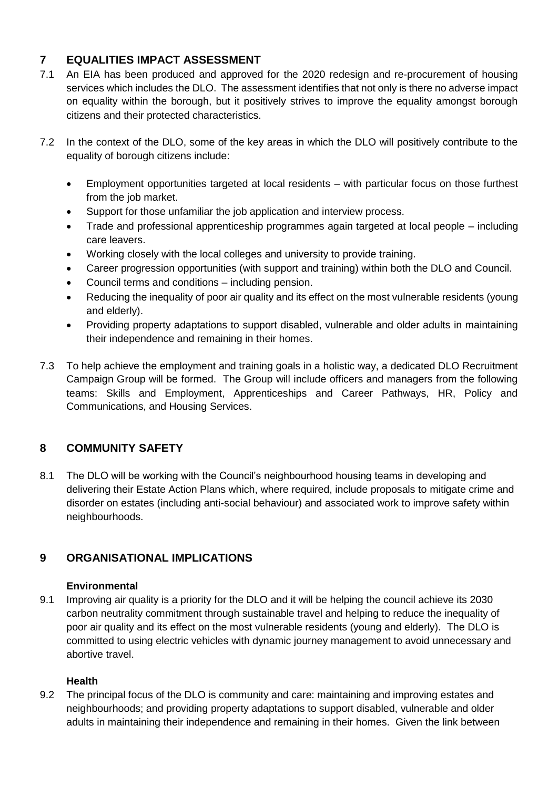# **7 EQUALITIES IMPACT ASSESSMENT**

- 7.1 An EIA has been produced and approved for the 2020 redesign and re-procurement of housing services which includes the DLO. The assessment identifies that not only is there no adverse impact on equality within the borough, but it positively strives to improve the equality amongst borough citizens and their protected characteristics.
- 7.2 In the context of the DLO, some of the key areas in which the DLO will positively contribute to the equality of borough citizens include:
	- Employment opportunities targeted at local residents with particular focus on those furthest from the job market.
	- Support for those unfamiliar the job application and interview process.
	- Trade and professional apprenticeship programmes again targeted at local people including care leavers.
	- Working closely with the local colleges and university to provide training.
	- Career progression opportunities (with support and training) within both the DLO and Council.
	- Council terms and conditions including pension.
	- Reducing the inequality of poor air quality and its effect on the most vulnerable residents (young and elderly).
	- Providing property adaptations to support disabled, vulnerable and older adults in maintaining their independence and remaining in their homes.
- 7.3 To help achieve the employment and training goals in a holistic way, a dedicated DLO Recruitment Campaign Group will be formed. The Group will include officers and managers from the following teams: Skills and Employment, Apprenticeships and Career Pathways, HR, Policy and Communications, and Housing Services.

# **8 COMMUNITY SAFETY**

8.1 The DLO will be working with the Council's neighbourhood housing teams in developing and delivering their Estate Action Plans which, where required, include proposals to mitigate crime and disorder on estates (including anti-social behaviour) and associated work to improve safety within neighbourhoods.

# **9 ORGANISATIONAL IMPLICATIONS**

#### **Environmental**

9.1 Improving air quality is a priority for the DLO and it will be helping the council achieve its 2030 carbon neutrality commitment through sustainable travel and helping to reduce the inequality of poor air quality and its effect on the most vulnerable residents (young and elderly). The DLO is committed to using electric vehicles with dynamic journey management to avoid unnecessary and abortive travel.

#### **Health**

9.2 The principal focus of the DLO is community and care: maintaining and improving estates and neighbourhoods; and providing property adaptations to support disabled, vulnerable and older adults in maintaining their independence and remaining in their homes. Given the link between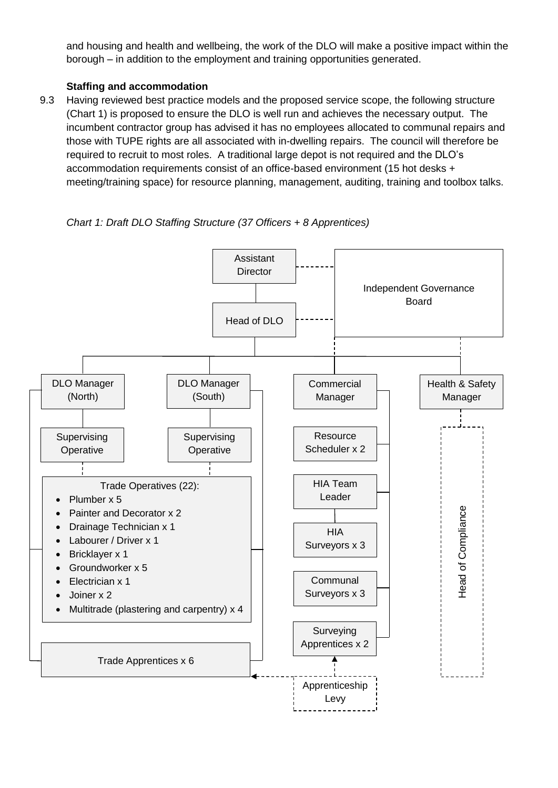and housing and health and wellbeing, the work of the DLO will make a positive impact within the borough – in addition to the employment and training opportunities generated.

#### **Staffing and accommodation**

9.3 Having reviewed best practice models and the proposed service scope, the following structure (Chart 1) is proposed to ensure the DLO is well run and achieves the necessary output. The incumbent contractor group has advised it has no employees allocated to communal repairs and those with TUPE rights are all associated with in-dwelling repairs. The council will therefore be required to recruit to most roles. A traditional large depot is not required and the DLO's accommodation requirements consist of an office-based environment (15 hot desks + meeting/training space) for resource planning, management, auditing, training and toolbox talks.

*Chart 1: Draft DLO Staffing Structure (37 Officers + 8 Apprentices)*

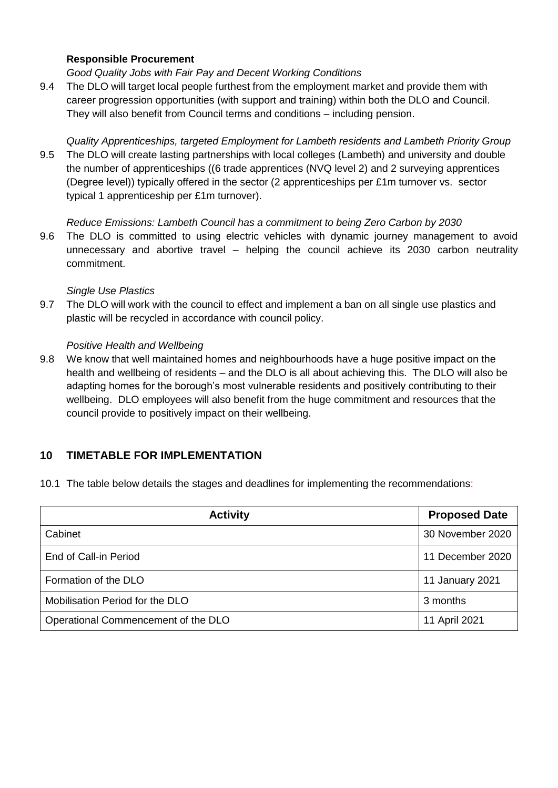#### **Responsible Procurement**

*Good Quality Jobs with Fair Pay and Decent Working Conditions*

9.4 The DLO will target local people furthest from the employment market and provide them with career progression opportunities (with support and training) within both the DLO and Council. They will also benefit from Council terms and conditions – including pension.

*Quality Apprenticeships, targeted Employment for Lambeth residents and Lambeth Priority Group*

9.5 The DLO will create lasting partnerships with local colleges (Lambeth) and university and double the number of apprenticeships ((6 trade apprentices (NVQ level 2) and 2 surveying apprentices (Degree level)) typically offered in the sector (2 apprenticeships per £1m turnover vs. sector typical 1 apprenticeship per £1m turnover).

#### *Reduce Emissions: Lambeth Council has a commitment to being Zero Carbon by 2030*

9.6 The DLO is committed to using electric vehicles with dynamic journey management to avoid unnecessary and abortive travel – helping the council achieve its 2030 carbon neutrality commitment.

#### *Single Use Plastics*

9.7 The DLO will work with the council to effect and implement a ban on all single use plastics and plastic will be recycled in accordance with council policy.

#### *Positive Health and Wellbeing*

9.8 We know that well maintained homes and neighbourhoods have a huge positive impact on the health and wellbeing of residents – and the DLO is all about achieving this. The DLO will also be adapting homes for the borough's most vulnerable residents and positively contributing to their wellbeing. DLO employees will also benefit from the huge commitment and resources that the council provide to positively impact on their wellbeing.

# **10 TIMETABLE FOR IMPLEMENTATION**

10.1 The table below details the stages and deadlines for implementing the recommendations:

| <b>Activity</b>                     | <b>Proposed Date</b> |
|-------------------------------------|----------------------|
| Cabinet                             | 30 November 2020     |
| End of Call-in Period               | 11 December 2020     |
| Formation of the DLO                | 11 January 2021      |
| Mobilisation Period for the DLO     | 3 months             |
| Operational Commencement of the DLO | 11 April 2021        |